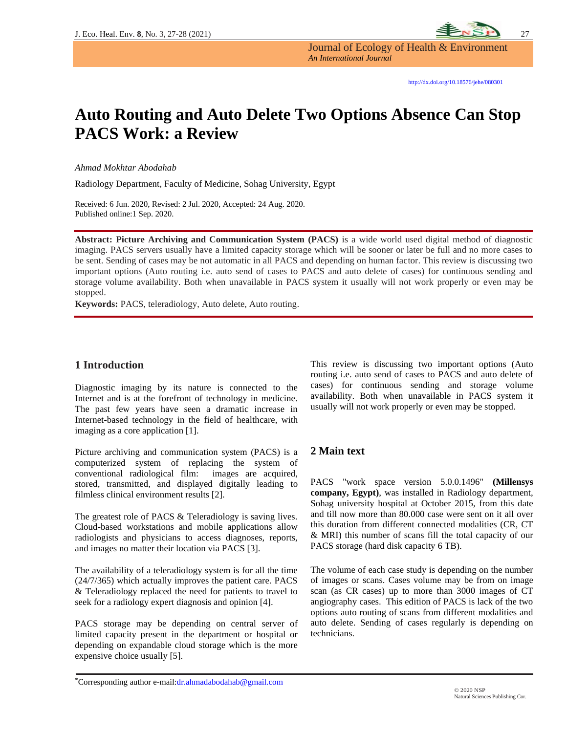

Journal of Ecology of Health & Environment *An International Journal*

# **Auto Routing and Auto Delete Two Options Absence Can Stop PACS Work: a Review**

*Ahmad Mokhtar Abodahab*

Radiology Department, Faculty of Medicine, Sohag University, Egypt

Received: 6 Jun. 2020, Revised: 2 Jul. 2020, Accepted: 24 Aug. 2020. Published online:1 Sep. 2020.

**Abstract: Picture Archiving and Communication System (PACS)** is a wide world used digital method of diagnostic imaging. PACS servers usually have a limited capacity storage which will be sooner or later be full and no more cases to be sent. Sending of cases may be not automatic in all PACS and depending on human factor. This review is discussing two important options (Auto routing i.e. auto send of cases to PACS and auto delete of cases) for continuous sending and storage volume availability. Both when unavailable in PACS system it usually will not work properly or even may be stopped.

**Keywords:** PACS, teleradiology, Auto delete, Auto routing.

### **1 Introduction**

Diagnostic imaging by its nature is connected to the Internet and is at the forefront of technology in medicine. The past few years have seen a dramatic increase in Internet-based technology in the field of healthcare, with imaging as a core application [1].

Picture archiving and communication system (PACS) is a computerized system of replacing the system of conventional radiological film: images are acquired, stored, transmitted, and displayed digitally leading to filmless clinical environment results [2].

The greatest role of PACS & Teleradiology is saving lives. Cloud-based workstations and mobile applications allow radiologists and physicians to access diagnoses, reports, and images no matter their location via PACS [3].

The availability of a teleradiology system is for all the time (24/7/365) which actually improves the patient care. PACS & Teleradiology replaced the need for patients to travel to seek for a radiology expert diagnosis and opinion [4].

PACS storage may be depending on central server of limited capacity present in the department or hospital or depending on expandable cloud storage which is the more expensive choice usually [5].

This review is discussing two important options (Auto routing i.e. auto send of cases to PACS and auto delete of cases) for continuous sending and storage volume availability. Both when unavailable in PACS system it usually will not work properly or even may be stopped.

#### **2 Main text**

PACS "work space version 5.0.0.1496" **(Millensys company, Egypt)**, was installed in Radiology department, Sohag university hospital at October 2015, from this date and till now more than 80.000 case were sent on it all over this duration from different connected modalities (CR, CT & MRI) this number of scans fill the total capacity of our PACS storage (hard disk capacity 6 TB).

The volume of each case study is depending on the number of images or scans. Cases volume may be from on image scan (as CR cases) up to more than 3000 images of CT angiography cases. This edition of PACS is lack of the two options auto routing of scans from different modalities and auto delete. Sending of cases regularly is depending on technicians.

\*Corresponding author e-mail[:dr.ahmadabodahab@gmail.com](mailto:dr.ahmadabodahab@gmail.com)